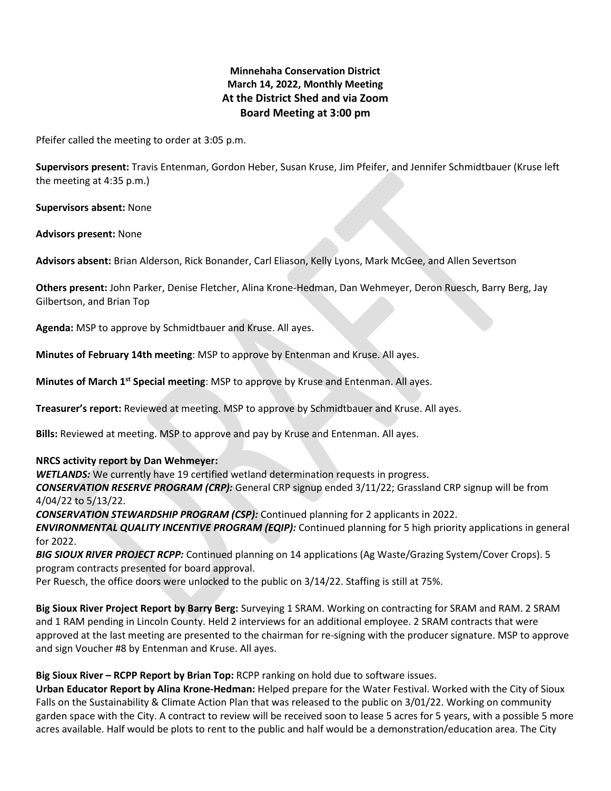# **Minnehaha Conservation District March 14, 2022, Monthly Meeting At the District Shed and via Zoom Board Meeting at 3:00 pm**

Pfeifer called the meeting to order at 3:05 p.m.

**Supervisors present:** Travis Entenman, Gordon Heber, Susan Kruse, Jim Pfeifer, and Jennifer Schmidtbauer (Kruse left the meeting at 4:35 p.m.)

**Supervisors absent:** None

**Advisors present:** None

**Advisors absent:** Brian Alderson, Rick Bonander, Carl Eliason, Kelly Lyons, Mark McGee, and Allen Severtson

**Others present:** John Parker, Denise Fletcher, Alina Krone-Hedman, Dan Wehmeyer, Deron Ruesch, Barry Berg, Jay Gilbertson, and Brian Top

**Agenda:** MSP to approve by Schmidtbauer and Kruse. All ayes.

**Minutes of February 14th meeting**: MSP to approve by Entenman and Kruse. All ayes.

**Minutes of March 1st Special meeting**: MSP to approve by Kruse and Entenman. All ayes.

**Treasurer's report:** Reviewed at meeting. MSP to approve by Schmidtbauer and Kruse. All ayes.

**Bills:** Reviewed at meeting. MSP to approve and pay by Kruse and Entenman. All ayes.

**NRCS activity report by Dan Wehmeyer:**

*WETLANDS:* We currently have 19 certified wetland determination requests in progress.

*CONSERVATION RESERVE PROGRAM (CRP):* General CRP signup ended 3/11/22; Grassland CRP signup will be from 4/04/22 to 5/13/22.

*CONSERVATION STEWARDSHIP PROGRAM (CSP):* Continued planning for 2 applicants in 2022.

*ENVIRONMENTAL QUALITY INCENTIVE PROGRAM (EQIP):* Continued planning for 5 high priority applications in general for 2022.

*BIG SIOUX RIVER PROJECT RCPP:* Continued planning on 14 applications (Ag Waste/Grazing System/Cover Crops). 5 program contracts presented for board approval.

Per Ruesch, the office doors were unlocked to the public on 3/14/22. Staffing is still at 75%.

**Big Sioux River Project Report by Barry Berg:** Surveying 1 SRAM. Working on contracting for SRAM and RAM. 2 SRAM and 1 RAM pending in Lincoln County. Held 2 interviews for an additional employee. 2 SRAM contracts that were approved at the last meeting are presented to the chairman for re-signing with the producer signature. MSP to approve and sign Voucher #8 by Entenman and Kruse. All ayes.

**Big Sioux River – RCPP Report by Brian Top:** RCPP ranking on hold due to software issues.

**Urban Educator Report by Alina Krone-Hedman:** Helped prepare for the Water Festival. Worked with the City of Sioux Falls on the Sustainability & Climate Action Plan that was released to the public on 3/01/22. Working on community garden space with the City. A contract to review will be received soon to lease 5 acres for 5 years, with a possible 5 more acres available. Half would be plots to rent to the public and half would be a demonstration/education area. The City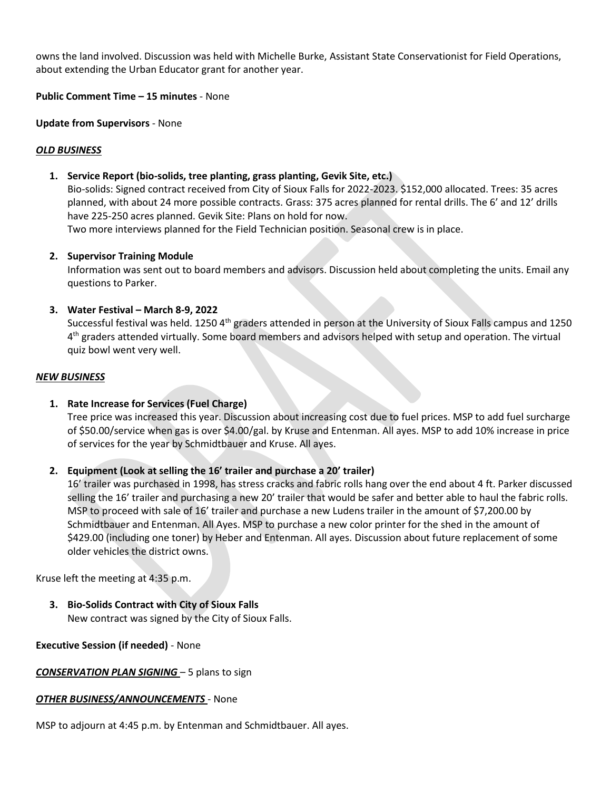owns the land involved. Discussion was held with Michelle Burke, Assistant State Conservationist for Field Operations, about extending the Urban Educator grant for another year.

**Public Comment Time – 15 minutes** - None

**Update from Supervisors** - None

## *OLD BUSINESS*

### **1. Service Report (bio-solids, tree planting, grass planting, Gevik Site, etc.)**

Bio-solids: Signed contract received from City of Sioux Falls for 2022-2023. \$152,000 allocated. Trees: 35 acres planned, with about 24 more possible contracts. Grass: 375 acres planned for rental drills. The 6' and 12' drills have 225-250 acres planned. Gevik Site: Plans on hold for now.

Two more interviews planned for the Field Technician position. Seasonal crew is in place.

### **2. Supervisor Training Module**

Information was sent out to board members and advisors. Discussion held about completing the units. Email any questions to Parker.

### **3. Water Festival – March 8-9, 2022**

Successful festival was held. 1250 4<sup>th</sup> graders attended in person at the University of Sioux Falls campus and 1250 4<sup>th</sup> graders attended virtually. Some board members and advisors helped with setup and operation. The virtual quiz bowl went very well.

#### *NEW BUSINESS*

## **1. Rate Increase for Services (Fuel Charge)**

Tree price was increased this year. Discussion about increasing cost due to fuel prices. MSP to add fuel surcharge of \$50.00/service when gas is over \$4.00/gal. by Kruse and Entenman. All ayes. MSP to add 10% increase in price of services for the year by Schmidtbauer and Kruse. All ayes.

## **2. Equipment (Look at selling the 16' trailer and purchase a 20' trailer)**

16' trailer was purchased in 1998, has stress cracks and fabric rolls hang over the end about 4 ft. Parker discussed selling the 16' trailer and purchasing a new 20' trailer that would be safer and better able to haul the fabric rolls. MSP to proceed with sale of 16' trailer and purchase a new Ludens trailer in the amount of \$7,200.00 by Schmidtbauer and Entenman. All Ayes. MSP to purchase a new color printer for the shed in the amount of \$429.00 (including one toner) by Heber and Entenman. All ayes. Discussion about future replacement of some older vehicles the district owns.

Kruse left the meeting at 4:35 p.m.

**3. Bio-Solids Contract with City of Sioux Falls** New contract was signed by the City of Sioux Falls.

#### **Executive Session (if needed)** - None

*CONSERVATION PLAN SIGNING* – 5 plans to sign

#### *OTHER BUSINESS/ANNOUNCEMENTS* - None

MSP to adjourn at 4:45 p.m. by Entenman and Schmidtbauer. All ayes.